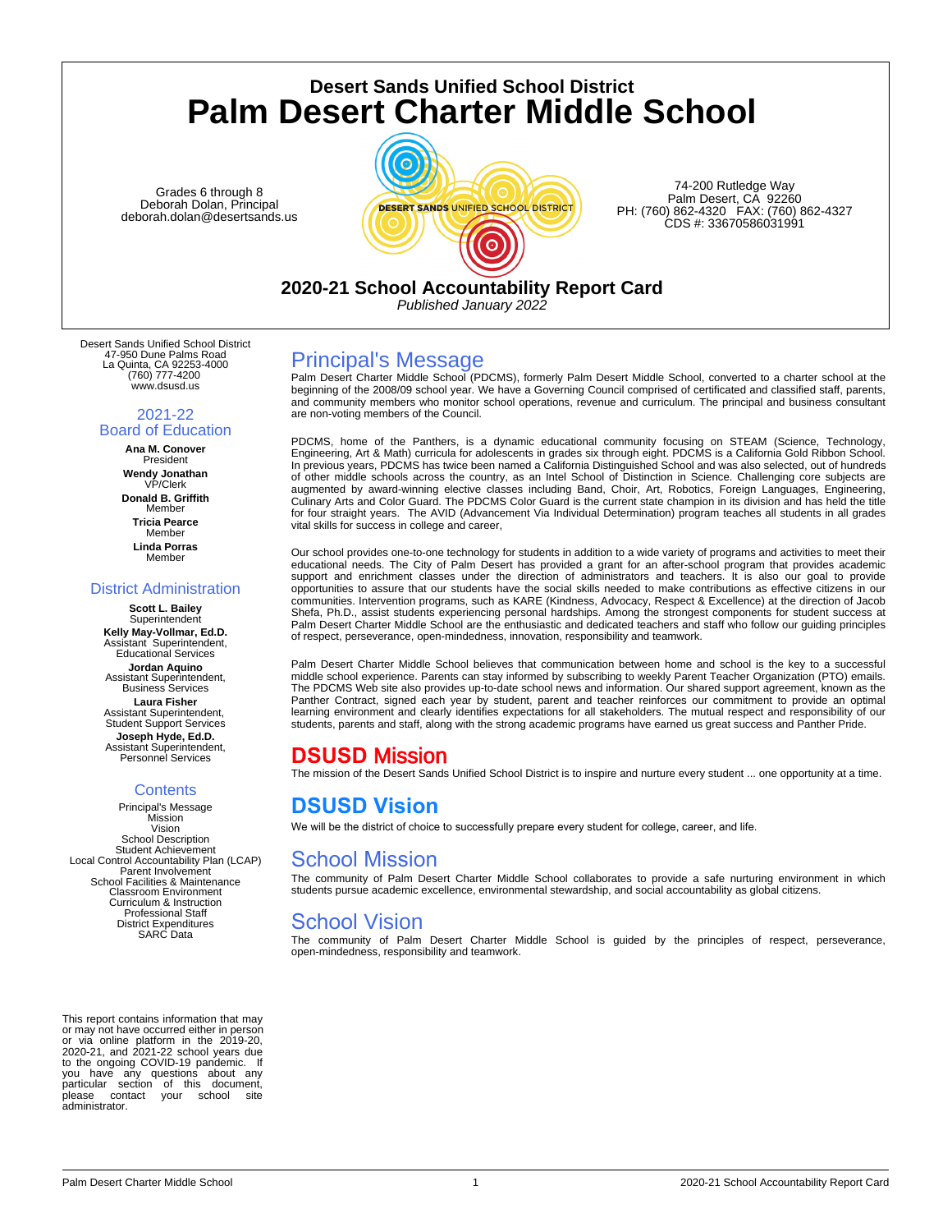**Desert Sands Unified School District Palm Desert Charter Middle School**

Grades 6 through 8 Deborah Dolan, Principal deborah.dolan@desertsands.us



74-200 Rutledge Way Palm Desert, CA 92260 PH: (760) 862-4320 FAX: (760) 862-4327 CDS #: 33670586031991

**2020-21 School Accountability Report Card**

*Published January 2022*

Desert Sands Unified School District 47-950 Dune Palms Road La Quinta, CA 92253-4000 (760) 777-4200 www.dsusd.us

#### 2021-22 Board of Education

**Ana M. Conover** President **Wendy Jonathan** VP/Clerk **Donald B. Griffith Member Tricia Pearce** Member **Linda Porras Member** 

### District Administration

**Scott L. Bailey Superintendent Kelly May-Vollmar, Ed.D.** Assistant Superintendent, Educational Services **Jordan Aquino** Assistant Superintendent, Business Services **Laura Fisher** Assistant Superintendent, Student Support Services **Joseph Hyde, Ed.D.** Assistant Superintendent, Personnel Services

### **Contents**

Principal's Message Mission Vision School Description Student Achievement Local Control Accountability Plan (LCAP) Parent Involvement School Facilities & Maintenance Classroom Environment Curriculum & Instruction Professional Staff District Expenditures SARC Data

This report contains information that may or may not have occurred either in person or via online platform in the 2019-20, 2020-21, and 2021-22 school years due to the ongoing COVID-19 pandemic. If you have any questions about any particular section of this document,<br>please contact your school site contact your please contradministrator.

### Principal's Message

Palm Desert Charter Middle School (PDCMS), formerly Palm Desert Middle School, converted to a charter school at the beginning of the 2008/09 school year. We have a Governing Council comprised of certificated and classified staff, parents, and community members who monitor school operations, revenue and curriculum. The principal and business consultant are non-voting members of the Council.

PDCMS, home of the Panthers, is a dynamic educational community focusing on STEAM (Science, Technology,<br>Engineering, Art & Math) curricula for adolescents in grades six through eight. PDCMS is a California Gold Ribbon Scho of other middle schools across the country, as an Intel School of Distinction in Science. Challenging core subjects are augmented by award-winning elective classes including Band, Choir, Art, Robotics, Foreign Languages, Engineering,<br>Culinary Arts and Color Guard. The PDCMS Color Guard is the current state champion in its division and has h for four straight years. The AVID (Advancement Via Individual Determination) program teaches all students in all grades vital skills for success in college and career,

Our school provides one-to-one technology for students in addition to a wide variety of programs and activities to meet their educational needs. The City of Palm Desert has provided a grant for an after-school program that provides academic support and enrichment classes under the direction of administrators and teachers. It is also our goal to provide opportunities to assure that our students have the social skills needed to make contributions as effective citizens in our communities. Intervention programs, such as KARE (Kindness, Advocacy, Respect & Excellence) at the direction of Jacob Shefa, Ph.D., assist students experiencing personal hardships. Among the strongest components for student success at<br>Palm Desert Charter Middle School are the enthusiastic and dedicated teachers and staff who follow our gu of respect, perseverance, open-mindedness, innovation, responsibility and teamwork.

Palm Desert Charter Middle School believes that communication between home and school is the key to a successful middle school experience. Parents can stay informed by subscribing to weekly Parent Teacher Organization (PTO) emails. The PDCMS Web site also provides up-to-date school news and information. Our shared support agreement, known as the Panther Contract, signed each year by student, parent and teacher reinforces our commitment to provide an optimal learning environment and clearly identifies expectations for all stakeholders. The mutual respect and responsibility of our students, parents and staff, along with the strong academic programs have earned us great success and Panther Pride.

# **DSUSD** Mission

The mission of the Desert Sands Unified School District is to inspire and nurture every student ... one opportunity at a time.

# **DSUSD Vision**

We will be the district of choice to successfully prepare every student for college, career, and life.

# School Mission

The community of Palm Desert Charter Middle School collaborates to provide a safe nurturing environment in which students pursue academic excellence, environmental stewardship, and social accountability as global citizens.

# School Vision

The community of Palm Desert Charter Middle School is guided by the principles of respect, perseverance, open-mindedness, responsibility and teamwork.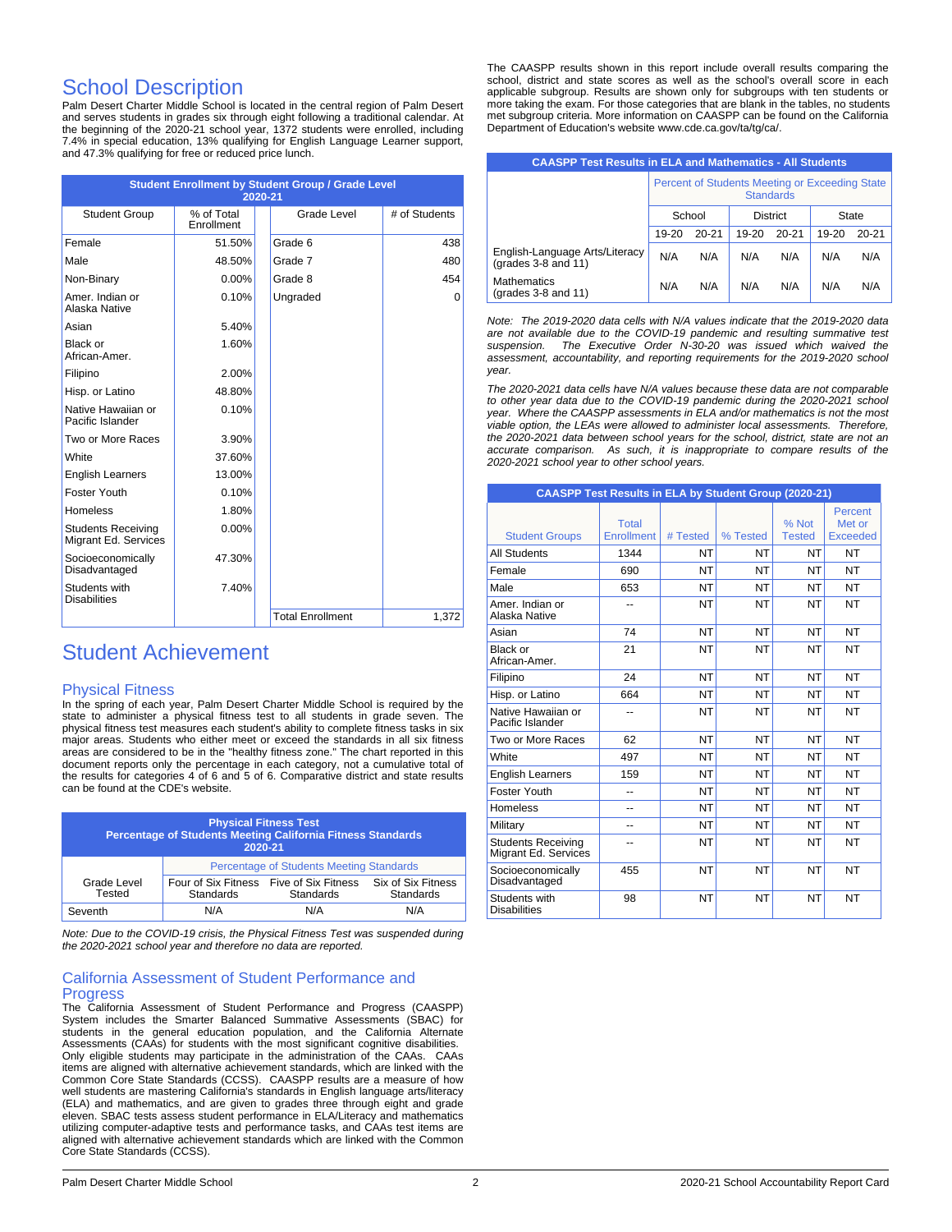# School Description

Palm Desert Charter Middle School is located in the central region of Palm Desert and serves students in grades six through eight following a traditional calendar. At the beginning of the 2020-21 school year, 1372 students were enrolled, including 7.4% in special education, 13% qualifying for English Language Learner support, and 47.3% qualifying for free or reduced price lunch.

| <b>Student Enrollment by Student Group / Grade Level</b><br>2020-21 |                          |  |                         |               |  |  |
|---------------------------------------------------------------------|--------------------------|--|-------------------------|---------------|--|--|
| <b>Student Group</b>                                                | % of Total<br>Enrollment |  | Grade Level             | # of Students |  |  |
| Female                                                              | 51.50%                   |  | Grade 6                 | 438           |  |  |
| Male                                                                | 48.50%                   |  | Grade 7                 | 480           |  |  |
| Non-Binary                                                          | $0.00\%$                 |  | Grade 8                 | 454           |  |  |
| Amer, Indian or<br>Alaska Native                                    | 0.10%                    |  | Ungraded                | 0             |  |  |
| Asian                                                               | 5.40%                    |  |                         |               |  |  |
| Black or<br>African-Amer.                                           | 1.60%                    |  |                         |               |  |  |
| Filipino                                                            | 2.00%                    |  |                         |               |  |  |
| Hisp. or Latino                                                     | 48.80%                   |  |                         |               |  |  |
| Native Hawaiian or<br>Pacific Islander                              | 0.10%                    |  |                         |               |  |  |
| Two or More Races                                                   | 3.90%                    |  |                         |               |  |  |
| White                                                               | 37.60%                   |  |                         |               |  |  |
| <b>English Learners</b>                                             | 13.00%                   |  |                         |               |  |  |
| Foster Youth                                                        | 0.10%                    |  |                         |               |  |  |
| <b>Homeless</b>                                                     | 1.80%                    |  |                         |               |  |  |
| <b>Students Receiving</b><br>Migrant Ed. Services                   | $0.00\%$                 |  |                         |               |  |  |
| Socioeconomically<br>Disadvantaged                                  | 47.30%                   |  |                         |               |  |  |
| Students with<br><b>Disabilities</b>                                | 7.40%                    |  |                         |               |  |  |
|                                                                     |                          |  | <b>Total Enrollment</b> | 1,372         |  |  |

# Student Achievement

### Physical Fitness

In the spring of each year, Palm Desert Charter Middle School is required by the state to administer a physical fitness test to all students in grade seven. The physical fitness test measures each student's ability to complete fitness tasks in six major areas. Students who either meet or exceed the standards in all six fitness areas are considered to be in the "healthy fitness zone." The chart reported in this document reports only the percentage in each category, not a cumulative total of the results for categories 4 of 6 and 5 of 6. Comparative district and state results can be found at the CDE's website.

| <b>Physical Fitness Test</b><br>Percentage of Students Meeting California Fitness Standards<br>2020-21 |                                                 |                                  |                                 |  |  |
|--------------------------------------------------------------------------------------------------------|-------------------------------------------------|----------------------------------|---------------------------------|--|--|
|                                                                                                        | <b>Percentage of Students Meeting Standards</b> |                                  |                                 |  |  |
| Grade Level<br>Tested                                                                                  | Four of Six Fitness<br>Standards                | Five of Six Fitness<br>Standards | Six of Six Fitness<br>Standards |  |  |
| Seventh                                                                                                | N/A                                             | N/A                              | N/A                             |  |  |

*Note: Due to the COVID-19 crisis, the Physical Fitness Test was suspended during the 2020-2021 school year and therefore no data are reported.*

### California Assessment of Student Performance and **Progress**

The California Assessment of Student Performance and Progress (CAASPP) System includes the Smarter Balanced Summative Assessments (SBAC) for<br>students in the general education population, and the California Alternate<br>Assessments (CAAs) for students with the most significant cognitive disabilit Only eligible students may participate in the administration of the CAAs. CAAs items are aligned with alternative achievement standards, which are linked with the Common Core State Standards (CCSS). CAASPP results are a measure of how well students are mastering California's standards in English language arts/literacy (ELA) and mathematics, and are given to grades three through eight and grade eleven. SBAC tests assess student performance in ELA/Literacy and mathematics utilizing computer-adaptive tests and performance tasks, and CAAs test items are aligned with alternative achievement standards which are linked with the Common Core State Standards (CCSS).

The CAASPP results shown in this report include overall results comparing the school, district and state scores as well as the school's overall score in each applicable subgroup. Results are shown only for subgroups with ten students or more taking the exam. For those categories that are blank in the tables, no students met subgroup criteria. More information on CAASPP can be found on the California Department of Education's website www.cde.ca.gov/ta/tg/ca/.

| <b>CAASPP Test Results in ELA and Mathematics - All Students</b>         |                                                                    |           |                 |           |       |           |
|--------------------------------------------------------------------------|--------------------------------------------------------------------|-----------|-----------------|-----------|-------|-----------|
|                                                                          | Percent of Students Meeting or Exceeding State<br><b>Standards</b> |           |                 |           |       |           |
|                                                                          | School                                                             |           | <b>District</b> |           | State |           |
|                                                                          | $19 - 20$                                                          | $20 - 21$ | $19-20$         | $20 - 21$ | 19-20 | $20 - 21$ |
| English-Language Arts/Literacy<br>$(\text{grades } 3-8 \text{ and } 11)$ | N/A                                                                | N/A       | N/A             | N/A       | N/A   | N/A       |
| <b>Mathematics</b><br>$(\text{grades } 3-8 \text{ and } 11)$             | N/A                                                                | N/A       | N/A             | N/A       | N/A   | N/A       |

*Note: The 2019-2020 data cells with N/A values indicate that the 2019-2020 data are not available due to the COVID-19 pandemic and resulting summative test suspension. The Executive Order N-30-20 was issued which waived the assessment, accountability, and reporting requirements for the 2019-2020 school year.*

*The 2020-2021 data cells have N/A values because these data are not comparable to other year data due to the COVID-19 pandemic during the 2020-2021 school year. Where the CAASPP assessments in ELA and/or mathematics is not the most viable option, the LEAs were allowed to administer local assessments. Therefore, the 2020-2021 data between school years for the school, district, state are not an accurate comparison. As such, it is inappropriate to compare results of the 2020-2021 school year to other school years.*

| <b>CAASPP Test Results in ELA by Student Group (2020-21)</b> |                                   |           |           |                        |                               |  |
|--------------------------------------------------------------|-----------------------------------|-----------|-----------|------------------------|-------------------------------|--|
| <b>Student Groups</b>                                        | <b>Total</b><br><b>Enrollment</b> | # Tested  | % Tested  | % Not<br><b>Tested</b> | Percent<br>Met or<br>Exceeded |  |
| <b>All Students</b>                                          | 1344                              | <b>NT</b> | NT        | <b>NT</b>              | <b>NT</b>                     |  |
| Female                                                       | 690                               | <b>NT</b> | NT        | NT                     | <b>NT</b>                     |  |
| Male                                                         | 653                               | <b>NT</b> | <b>NT</b> | NT                     | <b>NT</b>                     |  |
| Amer. Indian or<br>Alaska Native                             |                                   | <b>NT</b> | NT        | NT                     | <b>NT</b>                     |  |
| Asian                                                        | 74                                | <b>NT</b> | <b>NT</b> | NT                     | <b>NT</b>                     |  |
| Black or<br>African-Amer.                                    | 21                                | <b>NT</b> | NT        | NT                     | <b>NT</b>                     |  |
| Filipino                                                     | 24                                | <b>NT</b> | <b>NT</b> | NT                     | <b>NT</b>                     |  |
| Hisp. or Latino                                              | 664                               | <b>NT</b> | <b>NT</b> | NT                     | <b>NT</b>                     |  |
| Native Hawaiian or<br>Pacific Islander                       | $\overline{a}$                    | <b>NT</b> | <b>NT</b> | NT                     | <b>NT</b>                     |  |
| Two or More Races                                            | 62                                | <b>NT</b> | <b>NT</b> | <b>NT</b>              | <b>NT</b>                     |  |
| <b>White</b>                                                 | 497                               | <b>NT</b> | <b>NT</b> | <b>NT</b>              | <b>NT</b>                     |  |
| <b>English Learners</b>                                      | 159                               | <b>NT</b> | <b>NT</b> | NT                     | <b>NT</b>                     |  |
| Foster Youth                                                 | $=$                               | <b>NT</b> | <b>NT</b> | <b>NT</b>              | <b>NT</b>                     |  |
| <b>Homeless</b>                                              | $-$                               | <b>NT</b> | <b>NT</b> | NT                     | <b>NT</b>                     |  |
| Military                                                     | --                                | <b>NT</b> | <b>NT</b> | NT                     | <b>NT</b>                     |  |
| <b>Students Receiving</b><br>Migrant Ed. Services            | $\overline{a}$                    | <b>NT</b> | <b>NT</b> | NT                     | <b>NT</b>                     |  |
| Socioeconomically<br>Disadvantaged                           | 455                               | <b>NT</b> | <b>NT</b> | <b>NT</b>              | <b>NT</b>                     |  |
| Students with<br><b>Disabilities</b>                         | 98                                | <b>NT</b> | NT        | NT                     | <b>NT</b>                     |  |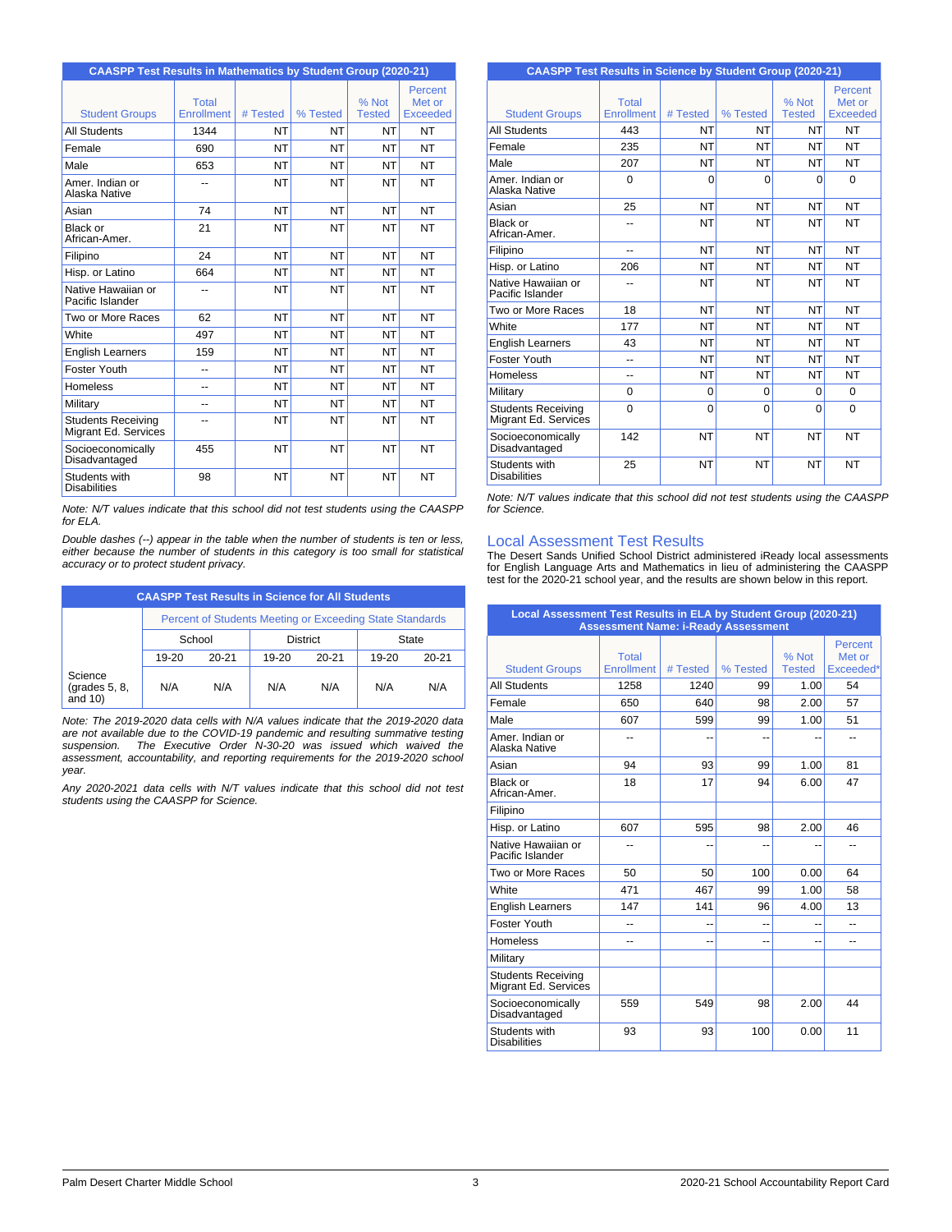| <b>CAASPP Test Results in Mathematics by Student Group (2020-21)</b> |                                   |           |           |                        |                                      |  |
|----------------------------------------------------------------------|-----------------------------------|-----------|-----------|------------------------|--------------------------------------|--|
| <b>Student Groups</b>                                                | <b>Total</b><br><b>Enrollment</b> | # Tested  | % Tested  | % Not<br><b>Tested</b> | Percent<br>Met or<br><b>Exceeded</b> |  |
| <b>All Students</b>                                                  | 1344                              | NT        | <b>NT</b> | <b>NT</b>              | <b>NT</b>                            |  |
| Female                                                               | 690                               | NT        | <b>NT</b> | <b>NT</b>              | <b>NT</b>                            |  |
| Male                                                                 | 653                               | NT        | <b>NT</b> | <b>NT</b>              | <b>NT</b>                            |  |
| Amer, Indian or<br>Alaska Native                                     |                                   | NT        | <b>NT</b> | <b>NT</b>              | <b>NT</b>                            |  |
| Asian                                                                | 74                                | NT        | <b>NT</b> | <b>NT</b>              | <b>NT</b>                            |  |
| Black or<br>African-Amer.                                            | 21                                | NT        | <b>NT</b> | <b>NT</b>              | <b>NT</b>                            |  |
| Filipino                                                             | 24                                | NT        | <b>NT</b> | <b>NT</b>              | <b>NT</b>                            |  |
| Hisp. or Latino                                                      | 664                               | NT        | <b>NT</b> | <b>NT</b>              | <b>NT</b>                            |  |
| Native Hawaiian or<br>Pacific Islander                               | --                                | NT        | <b>NT</b> | <b>NT</b>              | <b>NT</b>                            |  |
| Two or More Races                                                    | 62                                | <b>NT</b> | <b>NT</b> | <b>NT</b>              | <b>NT</b>                            |  |
| White                                                                | 497                               | NT        | <b>NT</b> | <b>NT</b>              | <b>NT</b>                            |  |
| <b>English Learners</b>                                              | 159                               | NT        | <b>NT</b> | <b>NT</b>              | <b>NT</b>                            |  |
| Foster Youth                                                         | --                                | NT        | <b>NT</b> | <b>NT</b>              | <b>NT</b>                            |  |
| Homeless                                                             | --                                | <b>NT</b> | <b>NT</b> | <b>NT</b>              | <b>NT</b>                            |  |
| Military                                                             | --                                | NT        | <b>NT</b> | <b>NT</b>              | <b>NT</b>                            |  |
| <b>Students Receiving</b><br>Migrant Ed. Services                    | --                                | NT        | <b>NT</b> | <b>NT</b>              | <b>NT</b>                            |  |
| Socioeconomically<br>Disadvantaged                                   | 455                               | NT        | <b>NT</b> | <b>NT</b>              | <b>NT</b>                            |  |
| Students with<br><b>Disabilities</b>                                 | 98                                | NT        | <b>NT</b> | <b>NT</b>              | <b>NT</b>                            |  |

*Note: N/T values indicate that this school did not test students using the CAASPP for ELA.*

*Double dashes (--) appear in the table when the number of students is ten or less, either because the number of students in this category is too small for statistical accuracy or to protect student privacy.*

| <b>CAASPP Test Results in Science for All Students</b> |           |                                                          |                 |           |       |           |
|--------------------------------------------------------|-----------|----------------------------------------------------------|-----------------|-----------|-------|-----------|
|                                                        |           | Percent of Students Meeting or Exceeding State Standards |                 |           |       |           |
|                                                        | School    |                                                          | <b>District</b> |           |       | State     |
|                                                        | $19 - 20$ | $20 - 21$                                                | 19-20           | $20 - 21$ | 19-20 | $20 - 21$ |
| Science<br>$\left($ grades 5, 8,<br>and $10$ )         | N/A       | N/A                                                      | N/A             | N/A       | N/A   | N/A       |

*Note: The 2019-2020 data cells with N/A values indicate that the 2019-2020 data are not available due to the COVID-19 pandemic and resulting summative testing suspension. The Executive Order N-30-20 was issued which waived the assessment, accountability, and reporting requirements for the 2019-2020 school year.*

*Any 2020-2021 data cells with N/T values indicate that this school did not test students using the CAASPP for Science.*

| <b>CAASPP Test Results in Science by Student Group (2020-21)</b> |                            |           |           |                          |                                      |
|------------------------------------------------------------------|----------------------------|-----------|-----------|--------------------------|--------------------------------------|
| <b>Student Groups</b>                                            | Total<br><b>Enrollment</b> | # Tested  | % Tested  | $%$ Not<br><b>Tested</b> | Percent<br>Met or<br><b>Exceeded</b> |
| <b>All Students</b>                                              | 443                        | <b>NT</b> | NΤ        | NT                       | <b>NT</b>                            |
| Female                                                           | 235                        | NT        | NT        | NT                       | NT                                   |
| Male                                                             | 207                        | NT        | NT        | NT                       | NT                                   |
| Amer, Indian or<br>Alaska Native                                 | $\Omega$                   | $\Omega$  | $\Omega$  | $\Omega$                 | $\Omega$                             |
| Asian                                                            | 25                         | <b>NT</b> | NT        | NT                       | <b>NT</b>                            |
| Black or<br>African-Amer.                                        | --                         | NT        | <b>NT</b> | NT                       | <b>NT</b>                            |
| Filipino                                                         | --                         | <b>NT</b> | <b>NT</b> | <b>NT</b>                | NT                                   |
| Hisp. or Latino                                                  | 206                        | <b>NT</b> | <b>NT</b> | <b>NT</b>                | <b>NT</b>                            |
| Native Hawaiian or<br>Pacific Islander                           |                            | NT        | NT        | <b>NT</b>                | <b>NT</b>                            |
| Two or More Races                                                | 18                         | <b>NT</b> | <b>NT</b> | NT                       | <b>NT</b>                            |
| White                                                            | 177                        | NT        | NT        | NT                       | NT                                   |
| <b>English Learners</b>                                          | 43                         | NT        | NT        | <b>NT</b>                | <b>NT</b>                            |
| Foster Youth                                                     | --                         | <b>NT</b> | <b>NT</b> | <b>NT</b>                | <b>NT</b>                            |
| Homeless                                                         | --                         | NT        | NT        | NT                       | <b>NT</b>                            |
| Military                                                         | $\Omega$                   | 0         | 0         | $\Omega$                 | $\Omega$                             |
| Students Receiving<br>Migrant Ed. Services                       | $\Omega$                   | $\Omega$  | $\Omega$  | $\Omega$                 | $\Omega$                             |
| Socioeconomically<br>Disadvantaged                               | 142                        | <b>NT</b> | <b>NT</b> | NT                       | <b>NT</b>                            |
| Students with<br><b>Disabilities</b>                             | 25                         | <b>NT</b> | <b>NT</b> | NT                       | <b>NT</b>                            |

*Note: N/T values indicate that this school did not test students using the CAASPP for Science.*

### Local Assessment Test Results

The Desert Sands Unified School District administered iReady local assessments<br>for English Language Arts and Mathematics in lieu of administering the CAASPP<br>test for the 2020-21 school year, and the results are shown below

| Local Assessment Test Results in ELA by Student Group (2020-21)<br><b>Assessment Name: i-Ready Assessment</b> |                            |          |          |                        |                                |  |
|---------------------------------------------------------------------------------------------------------------|----------------------------|----------|----------|------------------------|--------------------------------|--|
| <b>Student Groups</b>                                                                                         | Total<br><b>Enrollment</b> | # Tested | % Tested | % Not<br><b>Tested</b> | Percent<br>Met or<br>Exceeded* |  |
| <b>All Students</b>                                                                                           | 1258                       | 1240     | 99       | 1.00                   | 54                             |  |
| Female                                                                                                        | 650                        | 640      | 98       | 2.00                   | 57                             |  |
| Male                                                                                                          | 607                        | 599      | 99       | 1.00                   | 51                             |  |
| Amer. Indian or<br>Alaska Native                                                                              | --                         | --       |          |                        | $\overline{a}$                 |  |
| Asian                                                                                                         | 94                         | 93       | 99       | 1.00                   | 81                             |  |
| Black or<br>African-Amer.                                                                                     | 18                         | 17       | 94       | 6.00                   | 47                             |  |
| Filipino                                                                                                      |                            |          |          |                        |                                |  |
| Hisp. or Latino                                                                                               | 607                        | 595      | 98       | 2.00                   | 46                             |  |
| Native Hawaiian or<br>Pacific Islander                                                                        |                            |          |          |                        | --                             |  |
| Two or More Races                                                                                             | 50                         | 50       | 100      | 0.00                   | 64                             |  |
| White                                                                                                         | 471                        | 467      | 99       | 1.00                   | 58                             |  |
| <b>English Learners</b>                                                                                       | 147                        | 141      | 96       | 4.00                   | 13                             |  |
| Foster Youth                                                                                                  | $-$                        | --       | --       | --                     | $-$                            |  |
| <b>Homeless</b>                                                                                               | --                         | --       | --       | --                     | $-$                            |  |
| Military                                                                                                      |                            |          |          |                        |                                |  |
| <b>Students Receiving</b><br>Migrant Ed. Services                                                             |                            |          |          |                        |                                |  |
| Socioeconomically<br>Disadvantaged                                                                            | 559                        | 549      | 98       | 2.00                   | 44                             |  |
| Students with<br><b>Disabilities</b>                                                                          | 93                         | 93       | 100      | 0.00                   | 11                             |  |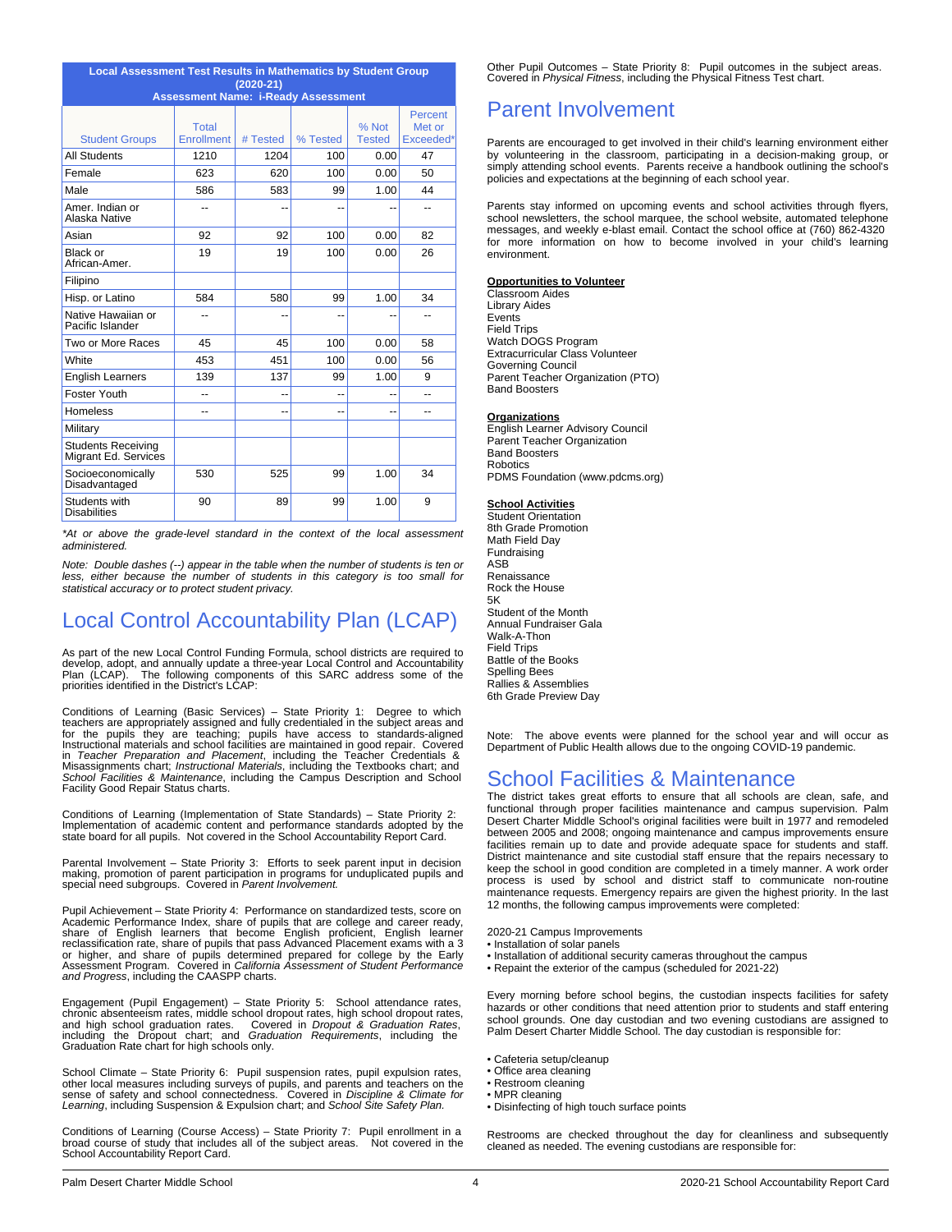| <b>Local Assessment Test Results in Mathematics by Student Group</b> |                                                           |          |          |                        |                                |  |  |  |
|----------------------------------------------------------------------|-----------------------------------------------------------|----------|----------|------------------------|--------------------------------|--|--|--|
|                                                                      | $(2020-21)$<br><b>Assessment Name: i-Ready Assessment</b> |          |          |                        |                                |  |  |  |
| <b>Student Groups</b>                                                | <b>Total</b><br>Enrollment                                | # Tested | % Tested | % Not<br><b>Tested</b> | Percent<br>Met or<br>Exceeded* |  |  |  |
| <b>All Students</b>                                                  | 1210                                                      | 1204     | 100      | 0.00                   | 47                             |  |  |  |
| Female                                                               | 623                                                       | 620      | 100      | 0.00                   | 50                             |  |  |  |
| Male                                                                 | 586                                                       | 583      | 99       | 1.00                   | 44                             |  |  |  |
| Amer, Indian or<br>Alaska Native                                     | --                                                        |          | --       |                        | --                             |  |  |  |
| Asian                                                                | 92                                                        | 92       | 100      | 0.00                   | 82                             |  |  |  |
| Black or<br>African-Amer.                                            | 19                                                        | 19       | 100      | 0.00                   | 26                             |  |  |  |
| Filipino                                                             |                                                           |          |          |                        |                                |  |  |  |
| Hisp. or Latino                                                      | 584                                                       | 580      | 99       | 1.00                   | 34                             |  |  |  |
| Native Hawaiian or<br>Pacific Islander                               |                                                           |          |          |                        |                                |  |  |  |
| Two or More Races                                                    | 45                                                        | 45       | 100      | 0.00                   | 58                             |  |  |  |
| White                                                                | 453                                                       | 451      | 100      | 0.00                   | 56                             |  |  |  |
| <b>English Learners</b>                                              | 139                                                       | 137      | 99       | 1.00                   | 9                              |  |  |  |
| Foster Youth                                                         | --                                                        | --       | --       |                        | --                             |  |  |  |
| <b>Homeless</b>                                                      | --                                                        | --       | --       | --                     | --                             |  |  |  |
| Military                                                             |                                                           |          |          |                        |                                |  |  |  |
| <b>Students Receiving</b><br>Migrant Ed. Services                    |                                                           |          |          |                        |                                |  |  |  |
| Socioeconomically<br>Disadvantaged                                   | 530                                                       | 525      | 99       | 1.00                   | 34                             |  |  |  |
| Students with<br><b>Disabilities</b>                                 | 90                                                        | 89       | 99       | 1.00                   | 9                              |  |  |  |

*\*At or above the grade-level standard in the context of the local assessment administered.*

*Note: Double dashes (--) appear in the table when the number of students is ten or less, either because the number of students in this category is too small for statistical accuracy or to protect student privacy.*

# Local Control Accountability Plan (LCAP)

As part of the new Local Control Funding Formula, school districts are required to develop, adopt, and annually update a three-year Local Control and Accountability Plan (LCAP). The following components of this SARC address some of the priorities identified in the District's LCAP:

Conditions of Learning (Basic Services) – State Priority 1: Degree to which<br>teachers are appropriately assigned and fully credentiated in the subject areas and<br>for the pupils they are teaching; pupils have access to standa

Conditions of Learning (Implementation of State Standards) – State Priority 2: Implementation of academic content and performance standards adopted by the state board for all pupils. Not covered in the School Accountability Report Card.

Parental Involvement – State Priority 3: Efforts to seek parent input in decision making, promotion of parent participation in programs for unduplicated pupils and special need subgroups. Covered in *Parent Involvement.*

Pupil Achievement – State Priority 4: Performance on standardized tests, score on Academic Performance Index, share of pupils that are college and career ready,<br>share of English learners that become English proficient, English learner<br>reclassification rate, share of pupils that pass Advanced Placement e or higher, and share of pupils determined prepared for college by the Early<br>Assessment Program. Covered in *California Assessment of Student Performance*<br>*and Progress*, including the CAASPP charts.

Engagement (Pupil Engagement) – State Priority 5: School attendance rates, chronic absenteeism rates, middle school dropout rates, high school dropout rates, and high school graduation rates. Covered in *Dropout & Graduation Rates*,<br>including the Dropout chart; and *Graduation Requirements*, including the<br>Graduation Rate chart for high schools only.

School Climate – State Priority 6: Pupil suspension rates, pupil expulsion rates, other local measures including surveys of pupils, and parents and teachers on the other softens of the sense of safety and school connectedn

Conditions of Learning (Course Access) – State Priority 7: Pupil enrollment in a broad course of study that includes all of the subject areas. Not covered in the School Accountability Report Card.

Other Pupil Outcomes – State Priority 8: Pupil outcomes in the subject areas. Covered in *Physical Fitness*, including the Physical Fitness Test chart.

# Parent Involvement

Parents are encouraged to get involved in their child's learning environment either by volunteering in the classroom, participating in a decision-making group, or simply attending school events. Parents receive a handbook outlining the school's policies and expectations at the beginning of each school year.

Parents stay informed on upcoming events and school activities through flyers, school newsletters, the school marquee, the school website, automated telephone messages, and weekly e-blast email. Contact the school office at (760) 862-4320 for more information on how to become involved in your child's learning environment.

#### **Opportunities to Volunteer**

Classroom Aides Library Aides Events Field Trips Watch DOGS Program Extracurricular Class Volunteer Governing Council Parent Teacher Organization (PTO) Band Boosters

#### **Organizations**

English Learner Advisory Council Parent Teacher Organization Band Boosters Robotics PDMS Foundation (www.pdcms.org)

#### **School Activities**

Student Orientation 8th Grade Promotion Math Field Day Fundraising ASB Renaissance Rock the House 5K Student of the Month Annual Fundraiser Gala Walk-A-Thon Field Trips Battle of the Books Spelling Bees Rallies & Assemblies 6th Grade Preview Day

Note: The above events were planned for the school year and will occur as Department of Public Health allows due to the ongoing COVID-19 pandemic.

## School Facilities & Maintenance

The district takes great efforts to ensure that all schools are clean, safe, and functional through proper facilities maintenance and campus supervision. Palm Desert Charter Middle School's original facilities were built in 1977 and remodeled between 2005 and 2008; ongoing maintenance and campus improvements ensure facilities remain up to date and provide adequate space for students and staff. District maintenance and site custodial staff ensure that the repairs necessary to keep the school in good condition are completed in a timely manner. A work order process is used by school and district staff to communicate non-routine maintenance requests. Emergency repairs are given the highest priority. In the last 12 months, the following campus improvements were completed:

2020-21 Campus Improvements

- Installation of solar panels
- Installation of additional security cameras throughout the campus
- Repaint the exterior of the campus (scheduled for 2021-22)

Every morning before school begins, the custodian inspects facilities for safety hazards or other conditions that need attention prior to students and staff entering school grounds. One day custodian and two evening custodians are assigned to Palm Desert Charter Middle School. The day custodian is responsible for:

- Cafeteria setup/cleanup
- Office area cleaning
- Restroom cleaning • MPR cleaning
- Disinfecting of high touch surface points

Restrooms are checked throughout the day for cleanliness and subsequently cleaned as needed. The evening custodians are responsible for: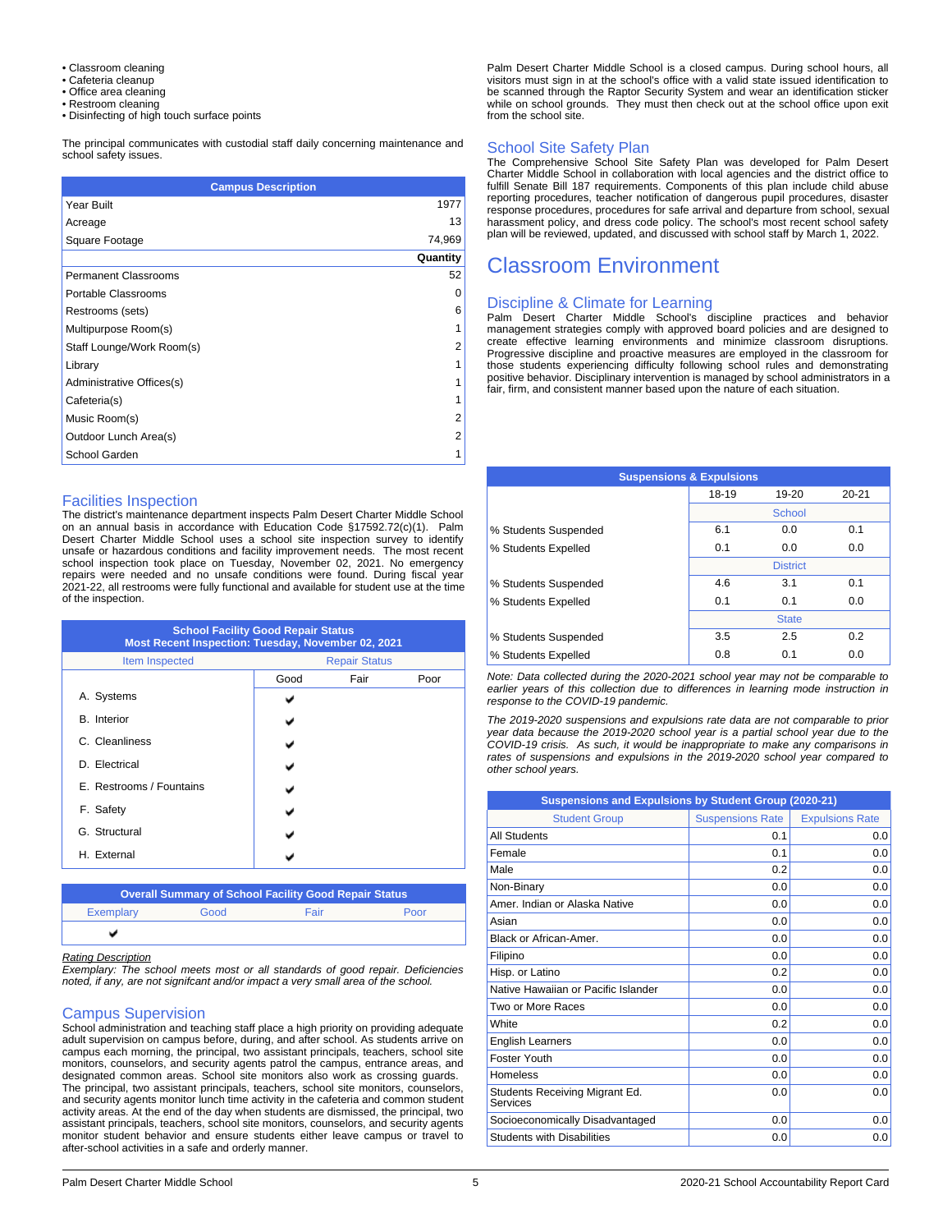- Classroom cleaning
- Cafeteria cleanup Office area cleaning
- Restroom cleaning
- Disinfecting of high touch surface points

The principal communicates with custodial staff daily concerning maintenance and school safety issues.

| <b>Campus Description</b>   |                |  |  |  |
|-----------------------------|----------------|--|--|--|
| Year Built                  | 1977           |  |  |  |
| Acreage                     | 13             |  |  |  |
| Square Footage              | 74,969         |  |  |  |
|                             | Quantity       |  |  |  |
| <b>Permanent Classrooms</b> | 52             |  |  |  |
| Portable Classrooms         | 0              |  |  |  |
| Restrooms (sets)            | 6              |  |  |  |
| Multipurpose Room(s)        | 1              |  |  |  |
| Staff Lounge/Work Room(s)   | 2              |  |  |  |
| Library                     | 1              |  |  |  |
| Administrative Offices(s)   | 1              |  |  |  |
| Cafeteria(s)                | 1              |  |  |  |
| Music Room(s)               | 2              |  |  |  |
| Outdoor Lunch Area(s)       | $\overline{2}$ |  |  |  |
| School Garden               | 1              |  |  |  |

### Facilities Inspection

The district's maintenance department inspects Palm Desert Charter Middle School<br>on an annual basis in accordance with Education Code §17592.72(c)(1). Palm<br>Desert Charter Middle School uses a school site inspection survey unsafe or hazardous conditions and facility improvement needs. The most recent school inspection took place on Tuesday, November 02, 2021. No emergency repairs were needed and no unsafe conditions were found. During fiscal year 2021-22, all restrooms were fully functional and available for student use at the time of the inspection.

| <b>School Facility Good Repair Status</b><br>Most Recent Inspection: Tuesday, November 02, 2021 |      |                      |      |  |  |
|-------------------------------------------------------------------------------------------------|------|----------------------|------|--|--|
| Item Inspected                                                                                  |      | <b>Repair Status</b> |      |  |  |
|                                                                                                 | Good | Fair                 | Poor |  |  |
| A. Systems                                                                                      |      |                      |      |  |  |
| <b>B.</b> Interior                                                                              |      |                      |      |  |  |
| C. Cleanliness                                                                                  |      |                      |      |  |  |
| D. Electrical                                                                                   |      |                      |      |  |  |
| E. Restrooms / Fountains                                                                        |      |                      |      |  |  |
| F. Safety                                                                                       |      |                      |      |  |  |
| G. Structural                                                                                   |      |                      |      |  |  |
| H. External                                                                                     |      |                      |      |  |  |

| <b>Overall Summary of School Facility Good Repair Status</b> |      |      |      |  |  |
|--------------------------------------------------------------|------|------|------|--|--|
| Exemplary                                                    | Good | Fair | Poor |  |  |
|                                                              |      |      |      |  |  |

#### *Rating Description*

*Exemplary: The school meets most or all standards of good repair. Deficiencies noted, if any, are not signifcant and/or impact a very small area of the school.*

### Campus Supervision

School administration and teaching staff place a high priority on providing adequate adult supervision on campus before, during, and after school. As students arrive on campus each morning, the principal, two assistant principals, teachers, school site monitors, counselors, and security agents patrol the campus, entrance areas, and designated common areas. School site monitors also work as crossing guards. The principal, two assistant principals, teachers, school site monitors, counselors, and security agents monitor lunch time activity in the cafeteria and common student activity areas. At the end of the day when students are dismissed, the principal, two assistant principals, teachers, school site monitors, counselors, and security agents monitor student behavior and ensure students either leave campus or travel to after-school activities in a safe and orderly manner.

Palm Desert Charter Middle School is a closed campus. During school hours, all visitors must sign in at the school's office with a valid state issued identification to be scanned through the Raptor Security System and wear an identification sticker while on school grounds. They must then check out at the school office upon exit from the school site.

#### School Site Safety Plan

The Comprehensive School Site Safety Plan was developed for Palm Desert Charter Middle School in collaboration with local agencies and the district office to<br>fulfill Senate Bill 187 requirements. Components of this plan include child abuse<br>reporting procedures, teacher notification of dangerou response procedures, procedures for safe arrival and departure from school, sexual harassment policy, and dress code policy. The school's most recent school safety plan will be reviewed, updated, and discussed with school staff by March 1, 2022.

# Classroom Environment

#### Discipline & Climate for Learning

Palm Desert Charter Middle School's discipline practices and behavior management strategies comply with approved board policies and are designed to create effective learning environments and minimize classroom disruptions. Progressive discipline and proactive measures are employed in the classroom for those students experiencing difficulty following school rules and demonstrating positive behavior. Disciplinary intervention is managed by school administrators in a fair, firm, and consistent manner based upon the nature of each situation.

| <b>Suspensions &amp; Expulsions</b> |       |                 |           |  |
|-------------------------------------|-------|-----------------|-----------|--|
|                                     | 18-19 | 19-20           | $20 - 21$ |  |
|                                     |       | School          |           |  |
| % Students Suspended                | 6.1   | 0.0             | 0.1       |  |
| % Students Expelled                 | 0.1   | 0.0             | 0.0       |  |
|                                     |       | <b>District</b> |           |  |
| % Students Suspended                | 4.6   | 3.1             | 0.1       |  |
| % Students Expelled                 | 0.1   | 0.1             | 0.0       |  |
|                                     |       | <b>State</b>    |           |  |
| % Students Suspended                | 3.5   | 2.5             | 0.2       |  |
| % Students Expelled                 | 0.8   | 0.1             | 0.0       |  |
|                                     |       |                 |           |  |

*Note: Data collected during the 2020-2021 school year may not be comparable to earlier years of this collection due to differences in learning mode instruction in response to the COVID-19 pandemic.*

*The 2019-2020 suspensions and expulsions rate data are not comparable to prior year data because the 2019-2020 school year is a partial school year due to the COVID-19 crisis. As such, it would be inappropriate to make any comparisons in rates of suspensions and expulsions in the 2019-2020 school year compared to other school years.*

| Suspensions and Expulsions by Student Group (2020-21) |                         |                        |  |
|-------------------------------------------------------|-------------------------|------------------------|--|
| <b>Student Group</b>                                  | <b>Suspensions Rate</b> | <b>Expulsions Rate</b> |  |
| <b>All Students</b>                                   | 0.1                     | 0.0                    |  |
| Female                                                | 0.1                     | 0.0                    |  |
| Male                                                  | 0.2                     | 0.0                    |  |
| Non-Binary                                            | 0.0                     | 0.0                    |  |
| Amer, Indian or Alaska Native                         | 0.0                     | 0.0                    |  |
| Asian                                                 | 0.0                     | 0.0                    |  |
| Black or African-Amer.                                | 0.0                     | 0.0                    |  |
| Filipino                                              | 0.0                     | 0.0                    |  |
| Hisp. or Latino                                       | 0.2                     | 0.0                    |  |
| Native Hawaiian or Pacific Islander                   | 0.0                     | 0.0                    |  |
| Two or More Races                                     | 0.0                     | 0.0                    |  |
| White                                                 | 0.2                     | 0.0                    |  |
| <b>English Learners</b>                               | 0.0                     | 0.0                    |  |
| <b>Foster Youth</b>                                   | 0.0                     | 0.0                    |  |
| Homeless                                              | 0.0                     | 0.0                    |  |
| Students Receiving Migrant Ed.<br>Services            | 0.0                     | 0.0                    |  |
| Socioeconomically Disadvantaged                       | 0.0                     | 0.0                    |  |
| <b>Students with Disabilities</b>                     | 0.0                     | 0.0                    |  |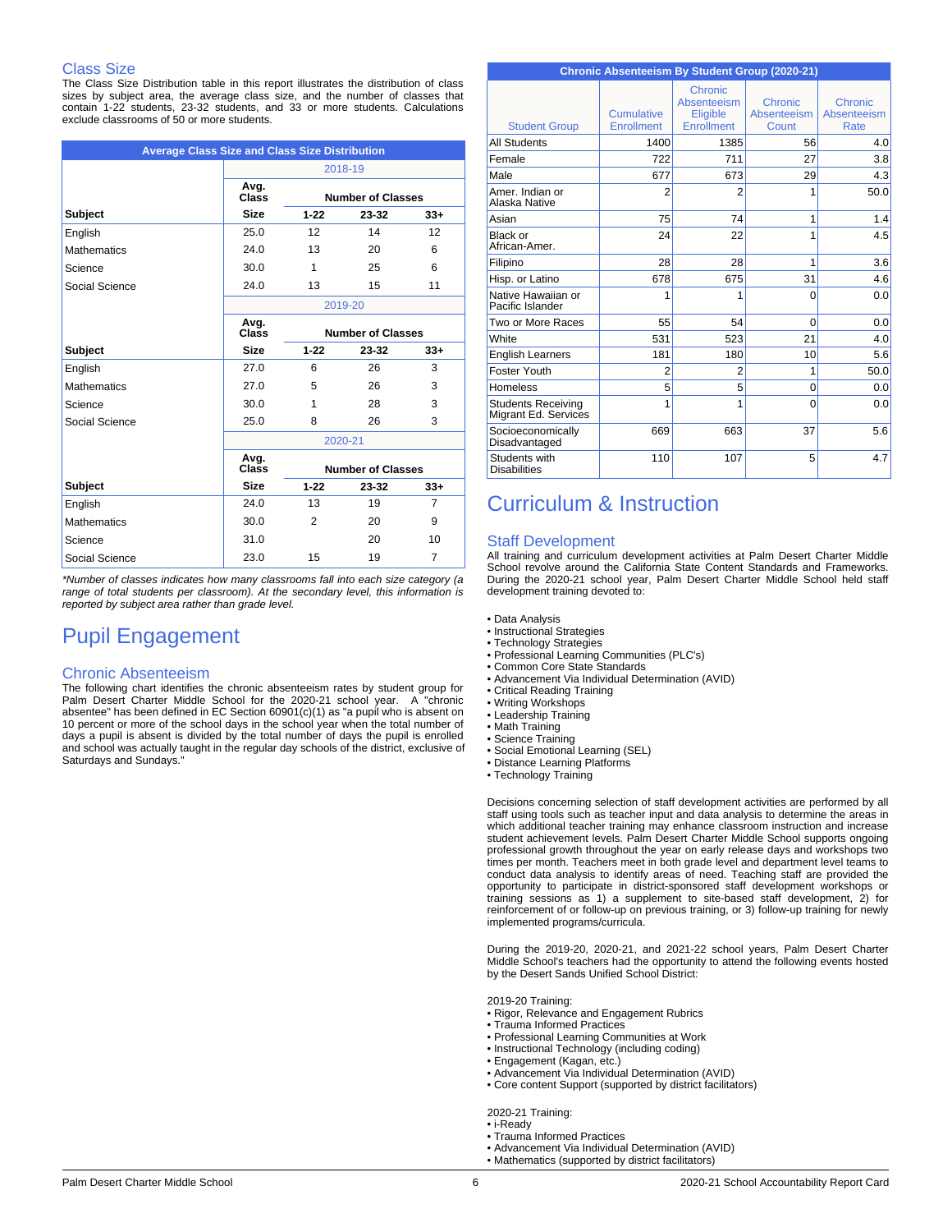### Class Size

The Class Size Distribution table in this report illustrates the distribution of class sizes by subject area, the average class size, and the number of classes that contain 1-22 students, 23-32 students, and 33 or more students. Calculations exclude classrooms of 50 or more students.

| <b>Average Class Size and Class Size Distribution</b> |               |          |                          |                |
|-------------------------------------------------------|---------------|----------|--------------------------|----------------|
|                                                       |               |          | 2018-19                  |                |
|                                                       | Avg.<br>Class |          | <b>Number of Classes</b> |                |
| Subject                                               | <b>Size</b>   | $1 - 22$ | $23 - 32$                | $33 +$         |
| English                                               | 25.0          | 12       | 14                       | 12             |
| <b>Mathematics</b>                                    | 24.0          | 13       | 20                       | 6              |
| Science                                               | 30.0          | 1        | 25                       | 6              |
| Social Science                                        | 24.0          | 13       | 15                       | 11             |
|                                                       |               |          | 2019-20                  |                |
|                                                       | Avg.<br>Class |          | <b>Number of Classes</b> |                |
| Subject                                               | <b>Size</b>   | $1 - 22$ | 23-32                    | $33+$          |
| English                                               | 27.0          | 6        | 26                       | 3              |
| <b>Mathematics</b>                                    | 27.0          | 5        | 26                       | 3              |
| Science                                               | 30.0          | 1        | 28                       | 3              |
| Social Science                                        | 25.0          | 8        | 26                       | 3              |
|                                                       |               |          | 2020-21                  |                |
|                                                       | Avg.<br>Class |          | <b>Number of Classes</b> |                |
| Subject                                               | <b>Size</b>   | $1 - 22$ | 23-32                    | $33+$          |
| English                                               | 24.0          | 13       | 19                       | $\overline{7}$ |
| <b>Mathematics</b>                                    | 30.0          | 2        | 20                       | 9              |
| Science                                               | 31.0          |          | 20                       | 10             |
| Social Science                                        | 23.0          | 15       | 19                       | $\overline{7}$ |

*\*Number of classes indicates how many classrooms fall into each size category (a range of total students per classroom). At the secondary level, this information is reported by subject area rather than grade level.*

# Pupil Engagement

#### Chronic Absenteeism

The following chart identifies the chronic absenteeism rates by student group for Palm Desert Charter Middle School for the 2020-21 school year. A "chronic absentee" has been defined in EC Section 60901(c)(1) as "a pupil who is absent on 10 percent or more of the school days in the school year when the total number of days a pupil is absent is divided by the total number of days the pupil is enrolled and school was actually taught in the regular day schools of the district, exclusive of Saturdays and Sundays.

| Chronic Absenteeism By Student Group (2020-21)    |                                 |                                                         |                                 |                                |
|---------------------------------------------------|---------------------------------|---------------------------------------------------------|---------------------------------|--------------------------------|
| <b>Student Group</b>                              | Cumulative<br><b>Enrollment</b> | Chronic<br>Absenteeism<br>Eligible<br><b>Enrollment</b> | Chronic<br>Absenteeism<br>Count | Chronic<br>Absenteeism<br>Rate |
| <b>All Students</b>                               | 1400                            | 1385                                                    | 56                              | 4.0                            |
| Female                                            | 722                             | 711                                                     | 27                              | 3.8                            |
| Male                                              | 677                             | 673                                                     | 29                              | 4.3                            |
| Amer, Indian or<br>Alaska Native                  | $\overline{2}$                  | 2                                                       | 1                               | 50.0                           |
| Asian                                             | 75                              | 74                                                      | 1                               | 1.4                            |
| Black or<br>African-Amer.                         | 24                              | 22                                                      | 1                               | 4.5                            |
| Filipino                                          | 28                              | 28                                                      | 1                               | 3.6                            |
| Hisp. or Latino                                   | 678                             | 675                                                     | 31                              | 4.6                            |
| Native Hawaiian or<br>Pacific Islander            | 1                               | 1                                                       | $\Omega$                        | 0.0                            |
| Two or More Races                                 | 55                              | 54                                                      | $\Omega$                        | 0.0                            |
| White                                             | 531                             | 523                                                     | 21                              | 4.0                            |
| <b>English Learners</b>                           | 181                             | 180                                                     | 10                              | 5.6                            |
| Foster Youth                                      | $\overline{2}$                  | 2                                                       | 1                               | 50.0                           |
| Homeless                                          | 5                               | 5                                                       | 0                               | 0.0                            |
| <b>Students Receiving</b><br>Migrant Ed. Services | 1                               | 1                                                       | 0                               | 0.0                            |
| Socioeconomically<br>Disadvantaged                | 669                             | 663                                                     | 37                              | 5.6                            |
| Students with<br><b>Disabilities</b>              | 110                             | 107                                                     | 5                               | 4.7                            |

# Curriculum & Instruction

#### Staff Development

All training and curriculum development activities at Palm Desert Charter Middle School revolve around the California State Content Standards and Frameworks. During the 2020-21 school year, Palm Desert Charter Middle School held staff development training devoted to:

- Data Analysis
- Instructional Strategies
- Technology Strategies
- Professional Learning Communities (PLC's)
- Common Core State Standards
- Advancement Via Individual Determination (AVID)
- Critical Reading Training
- Writing Workshops
- Leadership Training
- Math Training
- Science Training
- Social Emotional Learning (SEL) • Distance Learning Platforms
- 
- Technology Training

Decisions concerning selection of staff development activities are performed by all staff using tools such as teacher input and data analysis to determine the areas in which additional teacher training may enhance classroom instruction and increase student achievement levels. Palm Desert Charter Middle School supports ongoing professional growth throughout the year on early release days and workshops two times per month. Teachers meet in both grade level and department level teams to conduct data analysis to identify areas of need. Teaching staff are provided the opportunity to participate in district-sponsored staff development workshops or training sessions as 1) a supplement to site-based staff development, 2) for reinforcement of or follow-up on previous training, or 3) follow-up training for newly implemented programs/curricula.

During the 2019-20, 2020-21, and 2021-22 school years, Palm Desert Charter Middle School's teachers had the opportunity to attend the following events hosted by the Desert Sands Unified School District:

2019-20 Training:

- Rigor, Relevance and Engagement Rubrics
- Trauma Informed Practices
- Professional Learning Communities at Work
- Instructional Technology (including coding)
- Engagement (Kagan, etc.) Advancement Via Individual Determination (AVID)
- Core content Support (supported by district facilitators)
- 

2020-21 Training: • i-Ready

- Trauma Informed Practices
- Advancement Via Individual Determination (AVID)
- Mathematics (supported by district facilitators)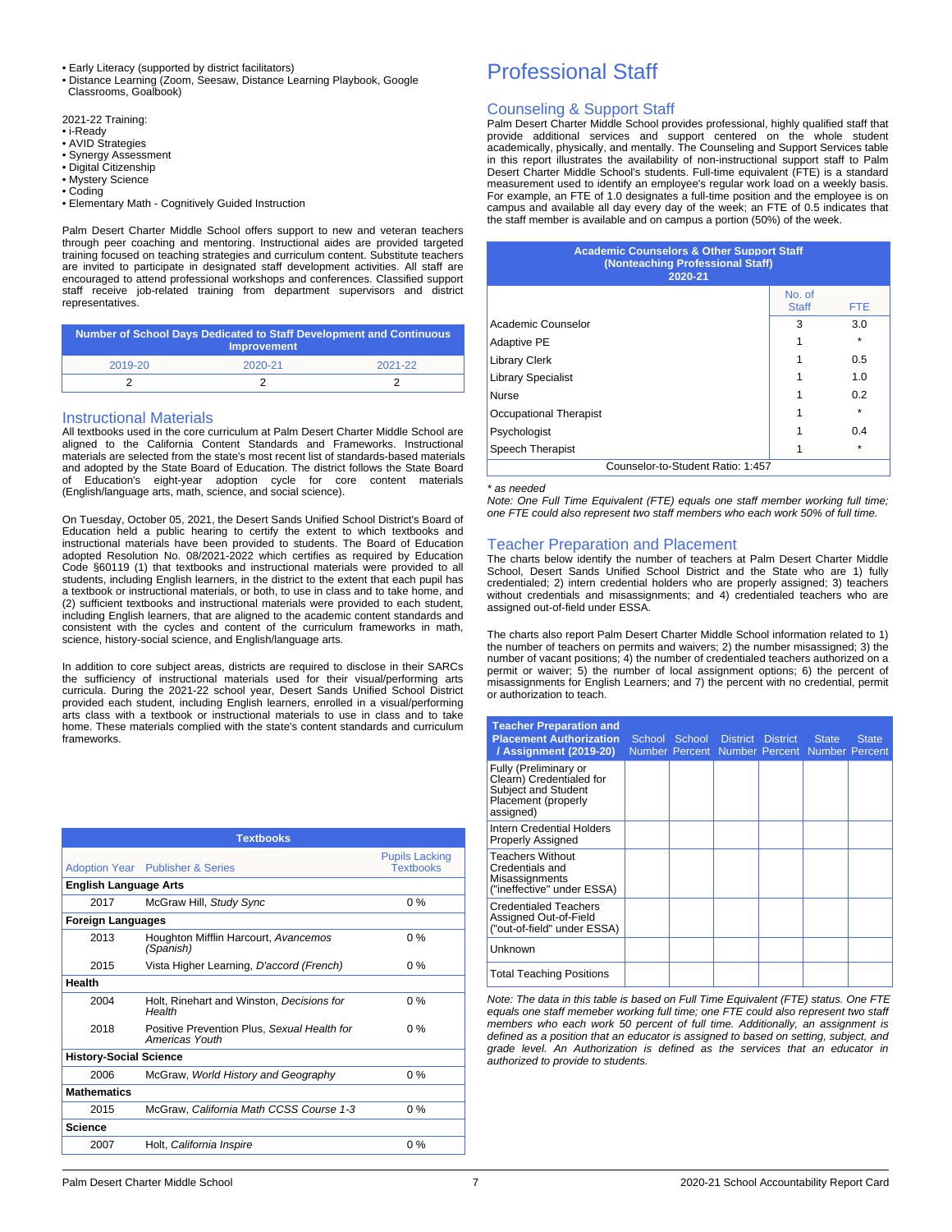- Early Literacy (supported by district facilitators)
- Distance Learning (Zoom, Seesaw, Distance Learning Playbook, Google Classrooms, Goalbook)

2021-22 Training:

- i-Ready
- AVID Strategies
- Synergy Assessment • Digital Citizenship
- Mystery Science
- Coding
- Elementary Math Cognitively Guided Instruction

Palm Desert Charter Middle School offers support to new and veteran teachers through peer coaching and mentoring. Instructional aides are provided targeted training focused on teaching strategies and curriculum content. Substitute teachers are invited to participate in designated staff development activities. All staff are encouraged to attend professional workshops and conferences. Classified support staff receive job-related training from department supervisors and district representatives.

| <b>Number of School Days Dedicated to Staff Development and Continuous</b><br><b>Improvement</b> |         |         |  |  |  |
|--------------------------------------------------------------------------------------------------|---------|---------|--|--|--|
| 2019-20                                                                                          | 2020-21 | 2021-22 |  |  |  |
|                                                                                                  |         |         |  |  |  |

#### Instructional Materials

All textbooks used in the core curriculum at Palm Desert Charter Middle School are aligned to the California Content Standards and Frameworks. Instructional materials are selected from the state's most recent list of standards-based materials and adopted by the State Board of Education. The district follows the State Board Education's eight-year adoption cycle for core content materials (English/language arts, math, science, and social science).

On Tuesday, October 05, 2021, the Desert Sands Unified School District's Board of Education held a public hearing to certify the extent to which textbooks and instructional materials have been provided to students. The Board of Education adopted Resolution No. 08/2021-2022 which certifies as required by Education Code §60119 (1) that textbooks and instructional materials were provided to all students, including English learners, in the district to the extent that each pupil has a textbook or instructional materials, or both, to use in class and to take home, and (2) sufficient textbooks and instructional materials were provided to each student, including English learners, that are aligned to the academic content standards and consistent with the cycles and content of the curriculum frameworks in math, science, history-social science, and English/language arts.

In addition to core subject areas, districts are required to disclose in their SARCs the sufficiency of instructional materials used for their visual/performing arts curricula. During the 2021-22 school year, Desert Sands Unified School District provided each student, including English learners, enrolled in a visual/performing arts class with a textbook or instructional materials to use in class and to take home. These materials complied with the state's content standards and curriculum frameworks.

|                               | <b>Textbooks</b>                                              |                                           |
|-------------------------------|---------------------------------------------------------------|-------------------------------------------|
|                               | <b>Adoption Year</b> Publisher & Series                       | <b>Pupils Lacking</b><br><b>Textbooks</b> |
| <b>English Language Arts</b>  |                                                               |                                           |
| 2017                          | McGraw Hill, Study Sync                                       | $0\%$                                     |
| <b>Foreign Languages</b>      |                                                               |                                           |
| 2013                          | Houghton Mifflin Harcourt, Avancemos<br>(Spanish)             | $0\%$                                     |
| 2015                          | Vista Higher Learning, D'accord (French)                      | $0\%$                                     |
| <b>Health</b>                 |                                                               |                                           |
| 2004                          | Holt, Rinehart and Winston, Decisions for<br>Health           | $0\%$                                     |
| 2018                          | Positive Prevention Plus, Sexual Health for<br>Americas Youth | $0\%$                                     |
| <b>History-Social Science</b> |                                                               |                                           |
| 2006                          | McGraw, World History and Geography                           | $0\%$                                     |
| <b>Mathematics</b>            |                                                               |                                           |
| 2015                          | McGraw, California Math CCSS Course 1-3                       | $0\%$                                     |
| <b>Science</b>                |                                                               |                                           |
| 2007                          | Holt, California Inspire                                      | $0\%$                                     |
|                               |                                                               |                                           |

# Professional Staff

### Counseling & Support Staff

Palm Desert Charter Middle School provides professional, highly qualified staff that provide additional services and support centered on the whole student academically, physically, and mentally. The Counseling and Support Services table in this report illustrates the availability of non-instructional support staff to Palm Desert Charter Middle School's students. Full-time equivalent (FTE) is a standard measurement used to identify an employee's regular work load on a weekly basis. For example, an FTE of 1.0 designates a full-time position and the employee is on campus and available all day every day of the week; an FTE of 0.5 indicates that the staff member is available and on campus a portion (50%) of the week.

| <b>Academic Counselors &amp; Other Support Staff</b><br>(Nonteaching Professional Staff)<br>2020-21 |                        |            |  |
|-----------------------------------------------------------------------------------------------------|------------------------|------------|--|
|                                                                                                     | No. of<br><b>Staff</b> | <b>FTE</b> |  |
| Academic Counselor                                                                                  | 3                      | 3.0        |  |
| <b>Adaptive PE</b>                                                                                  |                        | $\star$    |  |
| <b>Library Clerk</b>                                                                                |                        | 0.5        |  |
| <b>Library Specialist</b>                                                                           |                        | 1.0        |  |
| <b>Nurse</b>                                                                                        |                        | 0.2        |  |
| Occupational Therapist                                                                              |                        | $\star$    |  |
| Psychologist                                                                                        |                        | 0.4        |  |
| Speech Therapist                                                                                    |                        | $\star$    |  |
| Counselor-to-Student Ratio: 1:457                                                                   |                        |            |  |

#### *\* as needed*

*Note: One Full Time Equivalent (FTE) equals one staff member working full time; one FTE could also represent two staff members who each work 50% of full time.*

#### Teacher Preparation and Placement

The charts below identify the number of teachers at Palm Desert Charter Middle School, Desert Sands Unified School District and the State who are 1) fully credentialed; 2) intern credential holders who are properly assigned; 3) teachers without credentials and misassignments; and 4) credentialed teachers who are assigned out-of-field under ESSA.

The charts also report Palm Desert Charter Middle School information related to 1) the number of teachers on permits and waivers; 2) the number misassigned; 3) the number of vacant positions; 4) the number of credentialed teachers authorized on a permit or waiver; 5) the number of local assignment options; 6) the percent of misassignments for English Learners; and 7) the percent with no credential, permit or authorization to teach.

| <b>Teacher Preparation and</b><br><b>Placement Authorization</b><br>/ Assignment (2019-20)                   |  | School School District District<br>Number Percent Number Percent Number Percent | <b>State</b> | <b>State</b> |
|--------------------------------------------------------------------------------------------------------------|--|---------------------------------------------------------------------------------|--------------|--------------|
| Fully (Preliminary or<br>Clearn) Credentialed for<br>Subject and Student<br>Placement (properly<br>assigned) |  |                                                                                 |              |              |
| Intern Credential Holders<br><b>Properly Assigned</b>                                                        |  |                                                                                 |              |              |
| <b>Teachers Without</b><br>Credentials and<br>Misassignments<br>("ineffective" under ESSA)                   |  |                                                                                 |              |              |
| <b>Credentialed Teachers</b><br>Assigned Out-of-Field<br>("out-of-field" under ESSA)                         |  |                                                                                 |              |              |
| Unknown                                                                                                      |  |                                                                                 |              |              |
| <b>Total Teaching Positions</b>                                                                              |  |                                                                                 |              |              |

*Note: The data in this table is based on Full Time Equivalent (FTE) status. One FTE equals one staff memeber working full time; one FTE could also represent two staff members who each work 50 percent of full time. Additionally, an assignment is defined as a position that an educator is assigned to based on setting, subject, and grade level. An Authorization is defined as the services that an educator in authorized to provide to students.*